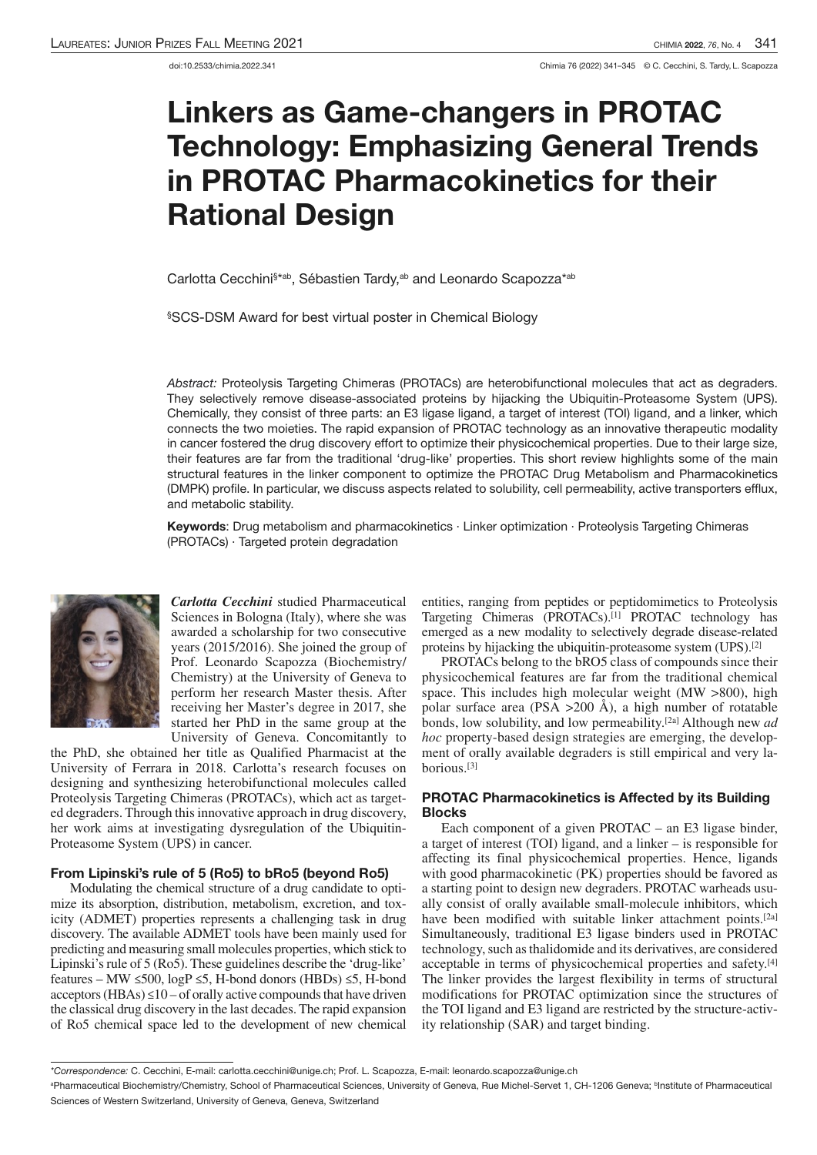# Linkers as Game-changers in PROTAC Technology: Emphasizing General Trends in PROTAC Pharmacokinetics for their Rational Design

Carlotta Cecchini§\*ªb, Sébastien Tardy,ªb and Leonardo Scapozza\*ªb

§SCS-DSM Award for best virtual poster in Chemical Biology

Abstract: Proteolysis Targeting Chimeras (PROTACs) are heterobifunctional molecules that act as degraders. They selectively remove disease-associated proteins by hijacking the Ubiquitin-Proteasome System (UPS). Chemically, they consist of three parts: an E3 ligase ligand, a target of interest (TOI) ligand, and a linker, which connects the two moieties. The rapid expansion of PROTAC technology as an innovative therapeutic modality in cancer fostered the drug discovery effort to optimize their physicochemical properties. Due to their large size, their features are far from the traditional 'drug-like' properties. This short review highlights some of the main structural features in the linker component to optimize the PROTAC Drug Metabolism and Pharmacokinetics (DMPK) profile. In particular, we discuss aspects related to solubility, cell permeability, active transporters efflux, and metabolic stability.

Keywords: Drug metabolism and pharmacokinetics · Linker optimization · Proteolysis Targeting Chimeras (PROTACs) · Targeted protein degradation



*Carlotta Cecchini* studied Pharmaceutical Sciences in Bologna (Italy), where she was awarded a scholarship for two consecutive years (2015/2016). She joined the group of Prof. Leonardo Scapozza (Biochemistry/ Chemistry) at the University of Geneva to perform her research Master thesis. After receiving her Master's degree in 2017, she started her PhD in the same group at the University of Geneva. Concomitantly to

the PhD, she obtained her title as Qualified Pharmacist at the University of Ferrara in 2018. Carlotta's research focuses on designing and synthesizing heterobifunctional molecules called Proteolysis Targeting Chimeras (PROTACs), which act as targeted degraders. Through thisinnovative approach in drug discovery, her work aims at investigating dysregulation of the Ubiquitin-Proteasome System (UPS) in cancer.

### From Lipinski's rule of 5 (Ro5) to bRo5 (beyond Ro5)

Modulating the chemical structure of a drug candidate to optimize its absorption, distribution, metabolism, excretion, and toxicity (ADMET) properties represents a challenging task in drug discovery. The available ADMET tools have been mainly used for predicting and measuring small molecules properties, which stick to Lipinski's rule of 5 (Ro5). These guidelines describe the 'drug-like' features – MW ≤500, logP ≤5, H-bond donors (HBDs) ≤5, H-bond acceptors (HBAs)  $\leq$ 10 – of orally active compounds that have driven the classical drug discovery in the last decades. The rapid expansion of Ro5 chemical space led to the development of new chemical entities, ranging from peptides or peptidomimetics to Proteolysis Targeting Chimeras (PROTACs).[1] PROTAC technology has emerged as a new modality to selectively degrade disease-related proteins by hijacking the ubiquitin-proteasome system (UPS).[2]

PROTACs belong to the bRO5 class of compounds since their physicochemical features are far from the traditional chemical space. This includes high molecular weight (MW >800), high polar surface area (PSA >200 Å), a high number of rotatable bonds, low solubility, and low permeability. [2a] Although new *ad hoc* property-based design strategies are emerging, the development of orally available degraders is still empirical and very laborious.[3]

# PROTAC Pharmacokinetics is Affected by its Building Blocks

Each component of a given PROTAC – an E3 ligase binder, a target of interest (TOI) ligand, and a linker – is responsible for affecting its final physicochemical properties. Hence, ligands with good pharmacokinetic (PK) properties should be favored as a starting point to design new degraders. PROTAC warheads usually consist of orally available small-molecule inhibitors, which have been modified with suitable linker attachment points.<sup>[2a]</sup> Simultaneously, traditional E3 ligase binders used in PROTAC technology, such as thalidomide and its derivatives, are considered acceptable in terms of physicochemical properties and safety. [4] The linker provides the largest flexibility in terms of structural modifications for PROTAC optimization since the structures of the TOI ligand and E3 ligand are restricted by the structure-activity relationship (SAR) and target binding.

<sup>\*</sup>Correspondence: C. Cecchini, E-mail: carlotta.cecchini@unige.ch; Prof. L. Scapozza, E-mail: leonardo.scapozza@unige.ch

<sup>a</sup>Pharmaceutical Biochemistry/Chemistry, School of Pharmaceutical Sciences, University of Geneva, Rue Michel-Servet 1, CH-1206 Geneva; <sup>b</sup> Institute of Pharmaceutical Sciences of Western Switzerland, University of Geneva, Geneva, Switzerland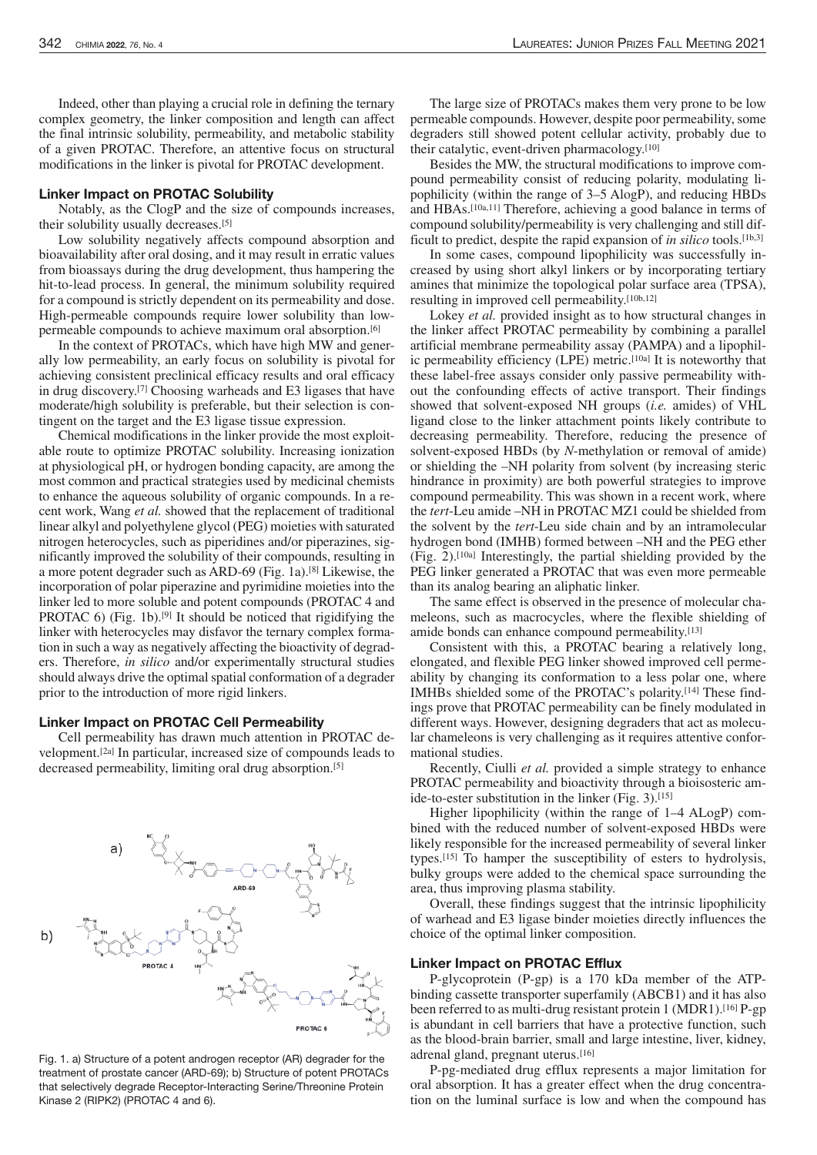Indeed, other than playing a crucial role in defining the ternary complex geometry, the linker composition and length can affect the final intrinsic solubility, permeability, and metabolic stability of a given PROTAC. Therefore, an attentive focus on structural modifications in the linker is pivotal for PROTAC development.

#### Linker Impact on PROTAC Solubility

Notably, as the ClogP and the size of compounds increases, their solubility usually decreases.[5]

Low solubility negatively affects compound absorption and bioavailability after oral dosing, and it may result in erratic values from bioassays during the drug development, thus hampering the hit-to-lead process. In general, the minimum solubility required for a compound is strictly dependent on its permeability and dose. High-permeable compounds require lower solubility than lowpermeable compounds to achieve maximum oral absorption.[6]

In the context of PROTACs, which have high MW and generally low permeability, an early focus on solubility is pivotal for achieving consistent preclinical efficacy results and oral efficacy in drug discovery. [7] Choosing warheads and E3 ligases that have moderate/high solubility is preferable, but their selection is contingent on the target and the E3 ligase tissue expression.

Chemical modifications in the linker provide the most exploitable route to optimize PROTAC solubility. Increasing ionization at physiological pH, or hydrogen bonding capacity, are among the most common and practical strategies used by medicinal chemists to enhance the aqueous solubility of organic compounds. In a recent work, Wang *et al.* showed that the replacement of traditional linear alkyl and polyethylene glycol (PEG) moieties with saturated nitrogen heterocycles, such as piperidines and/or piperazines, significantly improved the solubility of their compounds, resulting in a more potent degrader such as ARD-69 (Fig. 1a).[8] Likewise, the incorporation of polar piperazine and pyrimidine moieties into the linker led to more soluble and potent compounds (PROTAC 4 and PROTAC  $6$ ) (Fig. 1b).<sup>[9]</sup> It should be noticed that rigidifying the linker with heterocycles may disfavor the ternary complex formation in such a way as negatively affecting the bioactivity of degraders. Therefore, *in silico* and/or experimentally structural studies should always drive the optimal spatial conformation of a degrader prior to the introduction of more rigid linkers.

#### Linker Impact on PROTAC Cell Permeability

Cell permeability has drawn much attention in PROTAC development.[2a] In particular, increased size of compounds leads to decreased permeability, limiting oral drug absorption.[5]



Fig. 1. a) Structure of a potent androgen receptor (AR) degrader for the treatment of prostate cancer (ARD-69); b) Structure of potent PROTACs that selectively degrade Receptor-Interacting Serine/Threonine Protein Kinase 2 (RIPK2) (PROTAC 4 and 6).

The large size of PROTACs makes them very prone to be low permeable compounds. However, despite poor permeability, some degraders still showed potent cellular activity, probably due to their catalytic, event-driven pharmacology.<sup>[10]</sup>

Besides the MW, the structural modifications to improve compound permeability consist of reducing polarity, modulating lipophilicity (within the range of 3–5 AlogP), and reducing HBDs and HBAs.[10a,11] Therefore, achieving a good balance in terms of compound solubility/permeability is very challenging and still difficult to predict, despite the rapid expansion of *in silico* tools.[1b,3]

In some cases, compound lipophilicity was successfully increased by using short alkyl linkers or by incorporating tertiary amines that minimize the topological polar surface area (TPSA), resulting in improved cell permeability. [10b,12]

Lokey *et al.* provided insight as to how structural changes in the linker affect PROTAC permeability by combining a parallel artificial membrane permeability assay (PAMPA) and a lipophilic permeability efficiency (LPE) metric.<sup>[10a]</sup> It is noteworthy that these label-free assays consider only passive permeability without the confounding effects of active transport. Their findings showed that solvent-exposed NH groups (*i.e.* amides) of VHL ligand close to the linker attachment points likely contribute to decreasing permeability. Therefore, reducing the presence of solvent-exposed HBDs (by *N*-methylation or removal of amide) or shielding the –NH polarity from solvent (by increasing steric hindrance in proximity) are both powerful strategies to improve compound permeability. This was shown in a recent work, where the *tert*-Leu amide –NH in PROTAC MZ1 could be shielded from the solvent by the *tert*-Leu side chain and by an intramolecular hydrogen bond (IMHB) formed between –NH and the PEG ether (Fig. 2).[10a] Interestingly, the partial shielding provided by the PEG linker generated a PROTAC that was even more permeable than its analog bearing an aliphatic linker.

The same effect is observed in the presence of molecular chameleons, such as macrocycles, where the flexible shielding of amide bonds can enhance compound permeability.[13]

Consistent with this, a PROTAC bearing a relatively long, elongated, and flexible PEG linker showed improved cell permeability by changing its conformation to a less polar one, where IMHBs shielded some of the PROTAC's polarity. [14] These findings prove that PROTAC permeability can be finely modulated in different ways. However, designing degraders that act as molecular chameleons is very challenging as it requires attentive conformational studies.

Recently, Ciulli *et al.* provided a simple strategy to enhance PROTAC permeability and bioactivity through a bioisosteric amide-to-ester substitution in the linker (Fig. 3).<sup>[15]</sup>

Higher lipophilicity (within the range of 1–4 ALogP) combined with the reduced number of solvent-exposed HBDs were likely responsible for the increased permeability of several linker types.[15] To hamper the susceptibility of esters to hydrolysis, bulky groups were added to the chemical space surrounding the area, thus improving plasma stability.

Overall, these findings suggest that the intrinsic lipophilicity of warhead and E3 ligase binder moieties directly influences the choice of the optimal linker composition.

#### Linker Impact on PROTAC Efflux

P-glycoprotein (P-gp) is a 170 kDa member of the ATPbinding cassette transporter superfamily (ABCB1) and it has also been referred to as multi-drug resistant protein 1 (MDR1).<sup>[16]</sup> P-gp is abundant in cell barriers that have a protective function, such as the blood-brain barrier, small and large intestine, liver, kidney, adrenal gland, pregnant uterus.[16]

P-pg-mediated drug efflux represents a major limitation for oral absorption. It has a greater effect when the drug concentration on the luminal surface is low and when the compound has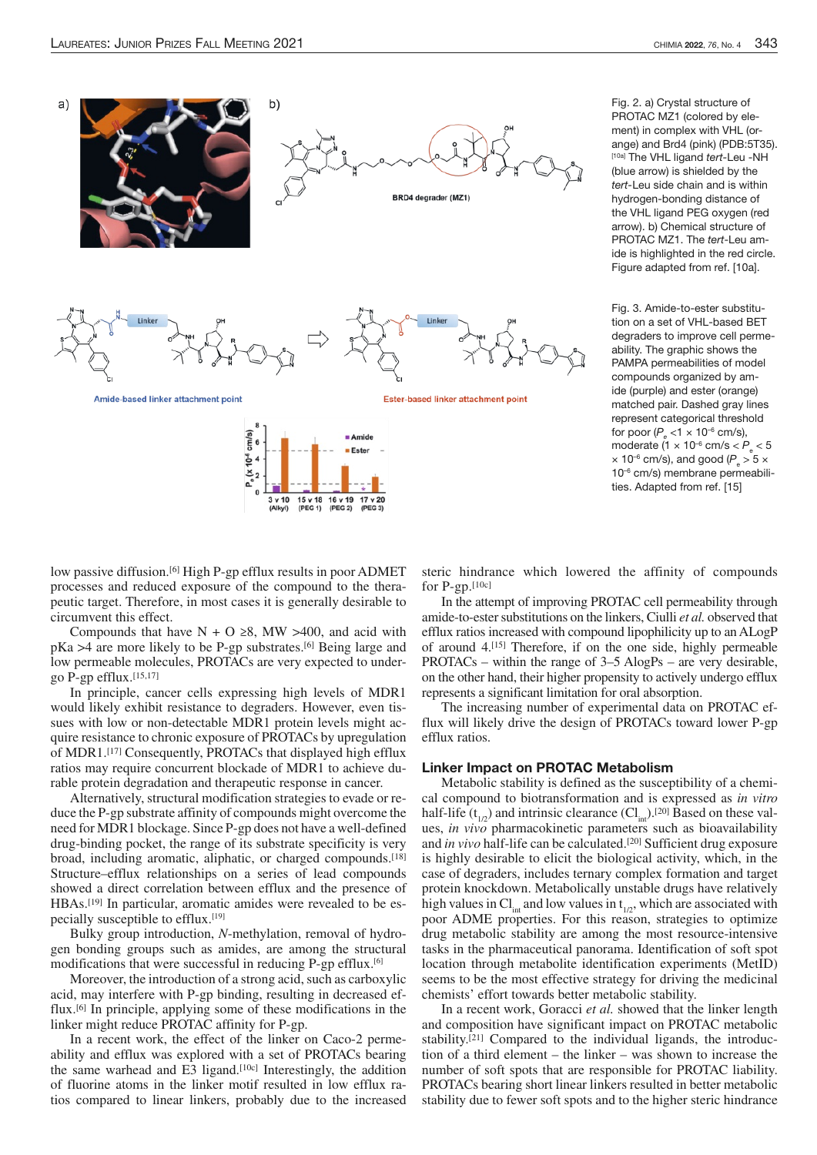

Fig. 2. a) Crystal structure of PROTAC MZ1 (colored by element) in complex with VHL (orange) and Brd4 (pink) (PDB:5T35). [10a] The VHL ligand tert-Leu -NH (blue arrow) is shielded by the tert-Leu side chain and is within hydrogen-bonding distance of the VHL ligand PEG oxygen (red arrow). b) Chemical structure of PROTAC MZ1. The tert-Leu amide is highlighted in the red circle. Figure adapted from ref. [10a].

Fig. 3. Amide-to-ester substitution on a set of VHL-based BET degraders to improve cell permeability. The graphic shows the PAMPA permeabilities of model compounds organized by amide (purple) and ester (orange) matched pair. Dashed gray lines represent categorical threshold for poor ( $P_e$  <1  $\times$  10<sup>-6</sup> cm/s), moderate (1  $\times$  10<sup>-6</sup> cm/s  $< P_e < 5$  $\times$  10<sup>-6</sup> cm/s), and good ( $P_e > 5 \times$ 10–6 cm/s) membrane permeabilities. Adapted from ref. [15]

low passive diffusion.<sup>[6]</sup> High P-gp efflux results in poor ADMET processes and reduced exposure of the compound to the therapeutic target. Therefore, in most cases it is generally desirable to circumvent this effect.

Compounds that have  $N + O \ge 8$ , MW >400, and acid with pKa >4 are more likely to be P-gp substrates.[6] Being large and low permeable molecules, PROTACs are very expected to undergo P-gp efflux. $[15,17]$ 

In principle, cancer cells expressing high levels of MDR1 would likely exhibit resistance to degraders. However, even tissues with low or non-detectable MDR1 protein levels might acquire resistance to chronic exposure of PROTACs by upregulation of MDR1.[17] Consequently, PROTACs that displayed high efflux ratios may require concurrent blockade of MDR1 to achieve durable protein degradation and therapeutic response in cancer.

Alternatively, structural modification strategies to evade or reduce theP-gp substrate affinity of compounds might overcome the need for MDR1 blockage.SinceP-gp does not have a well-defined drug-binding pocket, the range of its substrate specificity is very broad, including aromatic, aliphatic, or charged compounds.[18] Structure–efflux relationships on a series of lead compounds showed a direct correlation between efflux and the presence of HBAs.[19] In particular, aromatic amides were revealed to be especially susceptible to efflux.[19]

Bulky group introduction, *N*-methylation, removal of hydrogen bonding groups such as amides, are among the structural modifications that were successful in reducing P-gp efflux.[6]

Moreover, the introduction of a strong acid, such as carboxylic acid, may interfere with P-gp binding, resulting in decreased efflux.[6] In principle, applying some of these modifications in the linker might reduce PROTAC affinity for P-gp.

In a recent work, the effect of the linker on Caco-2 permeability and efflux was explored with a set of PROTACs bearing the same warhead and E3 ligand.<sup>[10c]</sup> Interestingly, the addition of fluorine atoms in the linker motif resulted in low efflux ratios compared to linear linkers, probably due to the increased steric hindrance which lowered the affinity of compounds for  $P-gp$ . [10c]

In the attempt of improving PROTAC cell permeability through amide-to-ester substitutions on the linkers, Ciulli et al. observed that efflux ratios increased with compound lipophilicity up to an ALogP of around 4.[15] Therefore, if on the one side, highly permeable PROTACs – within the range of 3–5 AlogPs – are very desirable, on the other hand, their higher propensity to actively undergo efflux represents a significant limitation for oral absorption.

The increasing number of experimental data on PROTAC efflux will likely drive the design of PROTACs toward lower P-gp efflux ratios.

#### Linker Impact on PROTAC Metabolism

Metabolic stability is defined as the susceptibility of a chemical compound to biotransformation and is expressed as *in vitro* half-life  $(t_{1/2})$  and intrinsic clearance  $(Cl_{1/2})$ .<sup>[20]</sup> Based on these values, *in vivo* pharmacokinetic parameters such as bioavailability and *in vivo* half-life can be calculated.<sup>[20]</sup> Sufficient drug exposure is highly desirable to elicit the biological activity, which, in the case of degraders, includes ternary complex formation and target protein knockdown. Metabolically unstable drugs have relatively high values in  $Cl<sub>int</sub>$  and low values in  $t<sub>1/2</sub>$ , which are associated with poor ADME properties. For this reason, strategies to optimize drug metabolic stability are among the most resource-intensive tasks in the pharmaceutical panorama. Identification of soft spot location through metabolite identification experiments (MetID) seems to be the most effective strategy for driving the medicinal chemists' effort towards better metabolic stability.

In a recent work, Goracci *et al.* showed that the linker length and composition have significant impact on PROTAC metabolic stability. [21] Compared to the individual ligands, the introduction of a third element – the linker – was shown to increase the number of soft spots that are responsible for PROTAC liability. PROTACs bearing short linear linkers resulted in better metabolic stability due to fewer soft spots and to the higher steric hindrance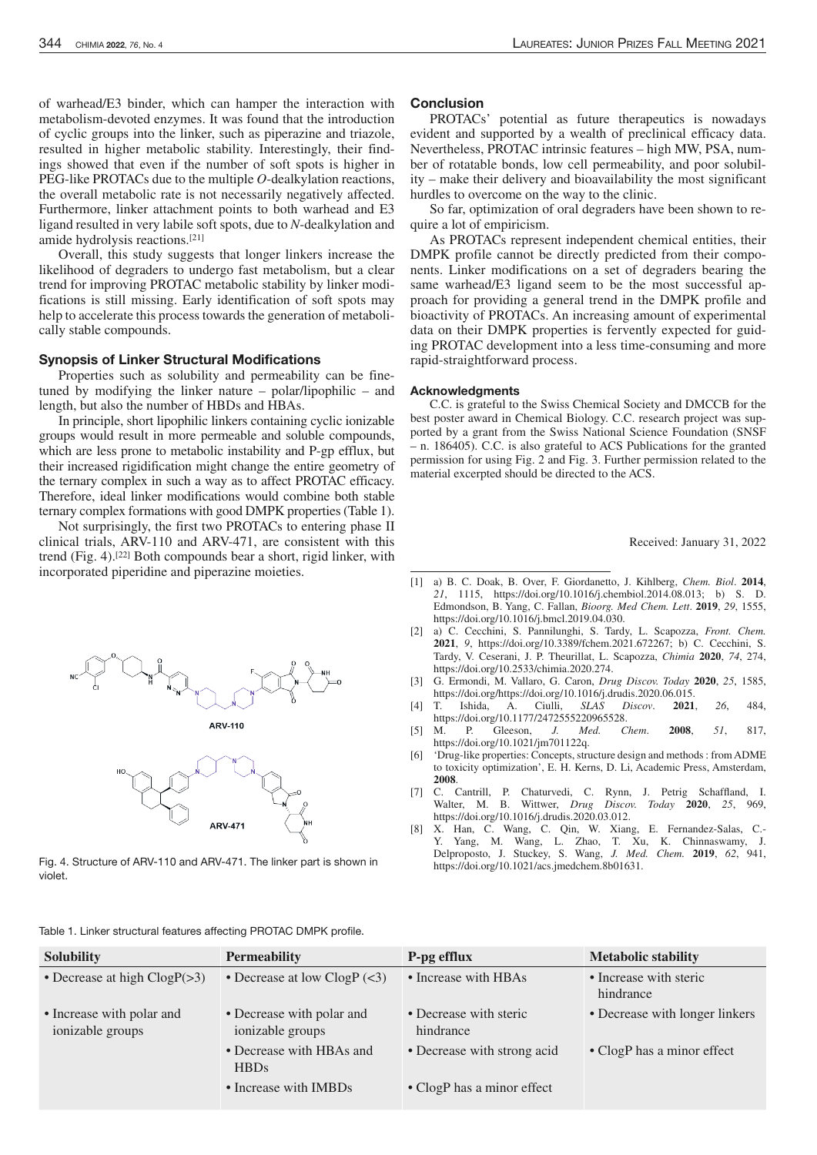of warhead/E3 binder, which can hamper the interaction with metabolism-devoted enzymes. It was found that the introduction of cyclic groups into the linker, such as piperazine and triazole, resulted in higher metabolic stability. Interestingly, their findings showed that even if the number of soft spots is higher in PEG-like PROTACs due to the multiple *O*-dealkylation reactions, the overall metabolic rate is not necessarily negatively affected. Furthermore, linker attachment points to both warhead and E3 ligand resulted in very labile soft spots, due to *N*-dealkylation and amide hydrolysis reactions.[21]

Overall, this study suggests that longer linkers increase the likelihood of degraders to undergo fast metabolism, but a clear trend for improving PROTAC metabolic stability by linker modifications is still missing. Early identification of soft spots may help to accelerate this process towards the generation of metabolically stable compounds.

## Synopsis of Linker Structural Modifications

Properties such as solubility and permeability can be finetuned by modifying the linker nature – polar/lipophilic – and length, but also the number of HBDs and HBAs.

In principle, short lipophilic linkers containing cyclic ionizable groups would result in more permeable and soluble compounds, which are less prone to metabolic instability and P-gp efflux, but their increased rigidification might change the entire geometry of the ternary complex in such a way as to affect PROTAC efficacy. Therefore, ideal linker modifications would combine both stable ternary complex formations with good DMPK properties(Table 1).

Not surprisingly, the first two PROTACs to entering phase II clinical trials, ARV-110 and ARV-471, are consistent with this trend (Fig. 4).[22] Both compounds bear a short, rigid linker, with incorporated piperidine and piperazine moieties.







Fig. 4. Structure of ARV-110 and ARV-471. The linker part is shown in violet.

Conclusion

PROTACs' potential as future therapeutics is nowadays evident and supported by a wealth of preclinical efficacy data. Nevertheless, PROTAC intrinsic features – high MW, PSA, number of rotatable bonds, low cell permeability, and poor solubility – make their delivery and bioavailability the most significant hurdles to overcome on the way to the clinic.

So far, optimization of oral degraders have been shown to require a lot of empiricism.

As PROTACs represent independent chemical entities, their DMPK profile cannot be directly predicted from their components. Linker modifications on a set of degraders bearing the same warhead/E3 ligand seem to be the most successful approach for providing a general trend in the DMPK profile and bioactivity of PROTACs. An increasing amount of experimental data on their DMPK properties is fervently expected for guiding PROTAC development into a less time-consuming and more rapid-straightforward process.

#### Acknowledgments

C.C. is grateful to the Swiss Chemical Society and DMCCB for the best poster award in Chemical Biology. C.C. research project was supported by a grant from the Swiss National Science Foundation (SNSF – n. 186405). C.C. is also grateful to ACS Publications for the granted permission for using Fig. 2 and Fig. 3. Further permission related to the material excerpted should be directed to the ACS.

Received: January 31, 2022

- [1] a) B. C. Doak, B. Over, F. Giordanetto, J. Kihlberg, *Chem. Biol*. **2014**, *21*, 1115, https://doi.org/10.1016/j.chembiol.2014.08.013; b) S. D. Edmondson, B. Yang, C. Fallan, *Bioorg. Med Chem. Lett*. **2019**, *29*, 1555, https://doi.org/10.1016/j.bmcl.2019.04.030.
- [2] a) C. Cecchini, S. Pannilunghi, S. Tardy, L. Scapozza, *Front. Chem.* **2021**, *9*, https://doi.org/10.3389/fchem.2021.672267; b) C. Cecchini, S. Tardy, V. Ceserani, J. P. Theurillat, L. Scapozza, *Chimia* **2020**, *74*, 274, https://doi.org/10.2533/chimia.2020.274.
- [3] G. Ermondi, M. Vallaro, G. Caron, *Drug Discov. Today* **2020**, *25*, 1585, https://doi.org/https://doi.org/10.1016/j.drudis.2020.06.015.
- [4] T. Ishida, A. Ciulli, *SLAS Discov*. **2021**, *26*, 484, https://doi.org/10.1177/2472555220965528.
- [5] M. P. Gleeson, *J. Med. Chem*. **2008**, *51*, 817, https://doi.org/10.1021/jm701122q.
- [6] 'Drug-like properties: Concepts, structure design and methods : fromADME to toxicity optimization', E. H. Kerns, D. Li, Academic Press, Amsterdam, **2008**.
- [7] C. Cantrill, P. Chaturvedi, C. Rynn, J. Petrig Schaffland, I. Walter, M. B. Wittwer, *Drug Discov. Today* **2020**, *25*, 969, https://doi.org/10.1016/j.drudis.2020.03.012.
- [8] X. Han, C. Wang, C. Qin, W. Xiang, E. Fernandez-Salas, C.- Y. Yang, M. Wang, L. Zhao, T. Xu, K. Chinnaswamy, J. Delproposto, J. Stuckey, S. Wang, *J. Med. Chem.* **2019**, *62*, 941, https://doi.org/10.1021/acs.jmedchem.8b01631.

| Table 1. Linker structural features affecting PROTAC DMPK profile. |  |  |
|--------------------------------------------------------------------|--|--|
|--------------------------------------------------------------------|--|--|

| Table T. Linker structural reatures affecting PROTAC DIVIPK profile. |                                               |                                     |                                     |  |
|----------------------------------------------------------------------|-----------------------------------------------|-------------------------------------|-------------------------------------|--|
| <b>Solubility</b>                                                    | <b>Permeability</b>                           | P-pg efflux                         | <b>Metabolic stability</b>          |  |
| • Decrease at high $ClogP(>3)$                                       | • Decrease at low $ClogP$ (<3)                | • Increase with HBAs                | • Increase with steric<br>hindrance |  |
| • Increase with polar and<br>ionizable groups                        | • Decrease with polar and<br>ionizable groups | • Decrease with steric<br>hindrance | • Decrease with longer linkers      |  |
|                                                                      | • Decrease with HBAs and<br><b>HBDs</b>       | • Decrease with strong acid         | • ClogP has a minor effect          |  |
|                                                                      | • Increase with IMBDs                         | • ClogP has a minor effect          |                                     |  |